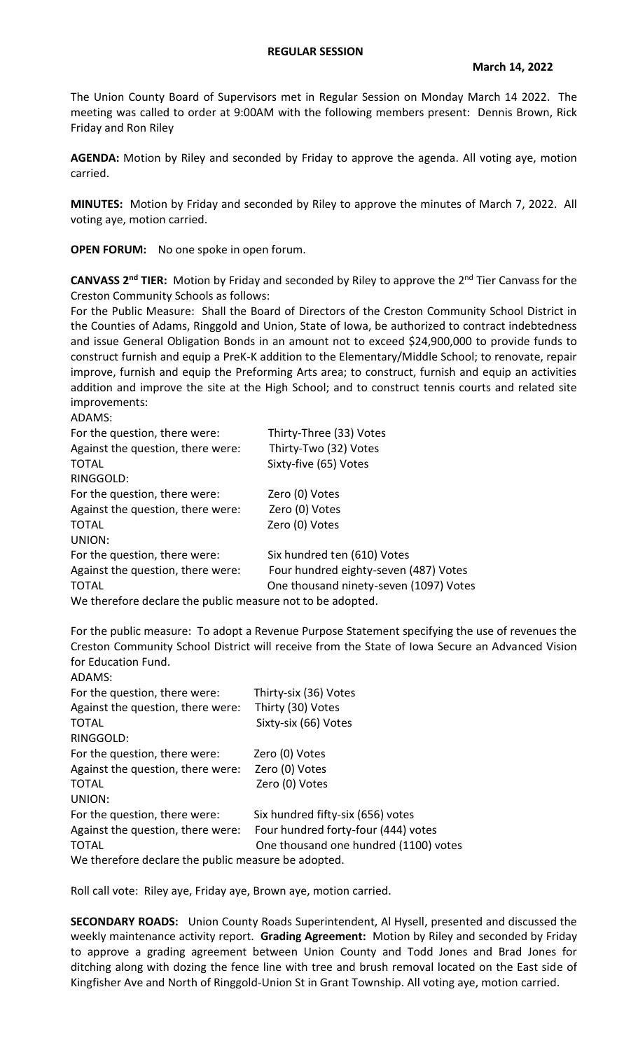## **REGULAR SESSION**

The Union County Board of Supervisors met in Regular Session on Monday March 14 2022. The meeting was called to order at 9:00AM with the following members present: Dennis Brown, Rick Friday and Ron Riley

**AGENDA:** Motion by Riley and seconded by Friday to approve the agenda. All voting aye, motion carried.

**MINUTES:** Motion by Friday and seconded by Riley to approve the minutes of March 7, 2022. All voting aye, motion carried.

**OPEN FORUM:** No one spoke in open forum.

**CANVASS 2nd TIER:** Motion by Friday and seconded by Riley to approve the 2nd Tier Canvass for the Creston Community Schools as follows:

For the Public Measure: Shall the Board of Directors of the Creston Community School District in the Counties of Adams, Ringgold and Union, State of Iowa, be authorized to contract indebtedness and issue General Obligation Bonds in an amount not to exceed \$24,900,000 to provide funds to construct furnish and equip a PreK-K addition to the Elementary/Middle School; to renovate, repair improve, furnish and equip the Preforming Arts area; to construct, furnish and equip an activities addition and improve the site at the High School; and to construct tennis courts and related site improvements:

ADAMS: For the question, there were: Thirty-Three (33) Votes Against the question, there were: Thirty-Two (32) Votes TOTAL Sixty-five (65) Votes RINGGOLD: For the question, there were: Zero (0) Votes Against the question, there were: Zero (0) Votes TOTAL Zero (0) Votes UNION: For the question, there were: Six hundred ten (610) Votes Against the question, there were: Four hundred eighty-seven (487) Votes TOTAL **TOTAL CONVICED STATES CONVICES** One thousand ninety-seven (1097) Votes We therefore declare the public measure not to be adopted.

For the public measure: To adopt a Revenue Purpose Statement specifying the use of revenues the Creston Community School District will receive from the State of Iowa Secure an Advanced Vision for Education Fund.

| ADAMS:                                              |                                       |  |  |
|-----------------------------------------------------|---------------------------------------|--|--|
| For the question, there were:                       | Thirty-six (36) Votes                 |  |  |
| Against the question, there were:                   | Thirty (30) Votes                     |  |  |
| TOTAL                                               | Sixty-six (66) Votes                  |  |  |
| RINGGOLD:                                           |                                       |  |  |
| For the question, there were:                       | Zero (0) Votes                        |  |  |
| Against the question, there were:                   | Zero (0) Votes                        |  |  |
| <b>TOTAL</b>                                        | Zero (0) Votes                        |  |  |
| UNION:                                              |                                       |  |  |
| For the question, there were:                       | Six hundred fifty-six (656) votes     |  |  |
| Against the question, there were:                   | Four hundred forty-four (444) votes   |  |  |
| TOTAL                                               | One thousand one hundred (1100) votes |  |  |
| We therefore declare the public measure be adopted. |                                       |  |  |
|                                                     |                                       |  |  |

Roll call vote: Riley aye, Friday aye, Brown aye, motion carried.

**SECONDARY ROADS:** Union County Roads Superintendent, Al Hysell, presented and discussed the weekly maintenance activity report. **Grading Agreement:** Motion by Riley and seconded by Friday to approve a grading agreement between Union County and Todd Jones and Brad Jones for ditching along with dozing the fence line with tree and brush removal located on the East side of Kingfisher Ave and North of Ringgold-Union St in Grant Township. All voting aye, motion carried.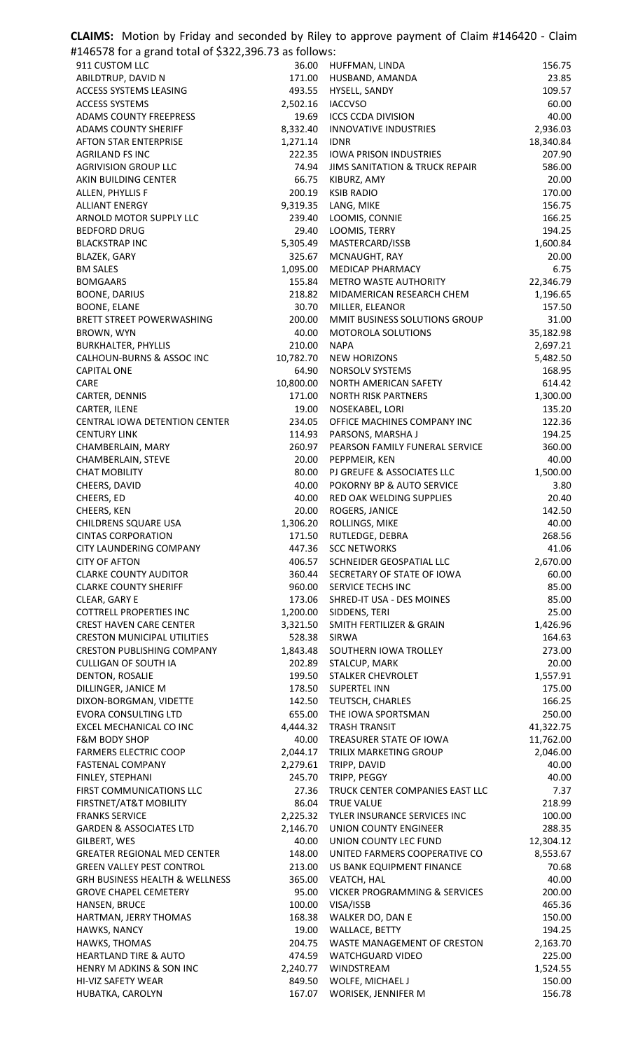| <b>CLAIMS:</b> Motion by Friday and seconded by Riley to approve payment of Claim #146420 - Claim |                    |                                                   |                    |
|---------------------------------------------------------------------------------------------------|--------------------|---------------------------------------------------|--------------------|
| #146578 for a grand total of \$322,396.73 as follows:                                             |                    |                                                   |                    |
| 911 CUSTOM LLC                                                                                    | 36.00              | HUFFMAN, LINDA                                    | 156.75             |
| ABILDTRUP, DAVID N                                                                                | 171.00             | HUSBAND, AMANDA                                   | 23.85              |
| ACCESS SYSTEMS LEASING<br><b>ACCESS SYSTEMS</b>                                                   | 493.55<br>2,502.16 | HYSELL, SANDY<br><b>IACCVSO</b>                   | 109.57<br>60.00    |
| <b>ADAMS COUNTY FREEPRESS</b>                                                                     | 19.69              | <b>ICCS CCDA DIVISION</b>                         | 40.00              |
| <b>ADAMS COUNTY SHERIFF</b>                                                                       | 8,332.40           | <b>INNOVATIVE INDUSTRIES</b>                      | 2,936.03           |
| <b>AFTON STAR ENTERPRISE</b>                                                                      | 1,271.14           | <b>IDNR</b>                                       | 18,340.84          |
| <b>AGRILAND FS INC</b>                                                                            | 222.35             | <b>IOWA PRISON INDUSTRIES</b>                     | 207.90             |
| <b>AGRIVISION GROUP LLC</b>                                                                       | 74.94              | <b>JIMS SANITATION &amp; TRUCK REPAIR</b>         | 586.00             |
| AKIN BUILDING CENTER                                                                              | 66.75              | KIBURZ, AMY                                       | 20.00              |
| ALLEN, PHYLLIS F<br><b>ALLIANT ENERGY</b>                                                         | 200.19<br>9,319.35 | <b>KSIB RADIO</b><br>LANG, MIKE                   | 170.00<br>156.75   |
| ARNOLD MOTOR SUPPLY LLC                                                                           | 239.40             | LOOMIS, CONNIE                                    | 166.25             |
| <b>BEDFORD DRUG</b>                                                                               | 29.40              | LOOMIS, TERRY                                     | 194.25             |
| <b>BLACKSTRAP INC</b>                                                                             | 5,305.49           | MASTERCARD/ISSB                                   | 1,600.84           |
| <b>BLAZEK, GARY</b>                                                                               | 325.67             | MCNAUGHT, RAY                                     | 20.00              |
| <b>BM SALES</b>                                                                                   | 1,095.00           | MEDICAP PHARMACY                                  | 6.75               |
| <b>BOMGAARS</b>                                                                                   | 155.84             | <b>METRO WASTE AUTHORITY</b>                      | 22,346.79          |
| <b>BOONE, DARIUS</b><br><b>BOONE, ELANE</b>                                                       | 218.82<br>30.70    | MIDAMERICAN RESEARCH CHEM<br>MILLER, ELEANOR      | 1,196.65<br>157.50 |
| BRETT STREET POWERWASHING                                                                         | 200.00             | MMIT BUSINESS SOLUTIONS GROUP                     | 31.00              |
| BROWN, WYN                                                                                        | 40.00              | MOTOROLA SOLUTIONS                                | 35,182.98          |
| <b>BURKHALTER, PHYLLIS</b>                                                                        | 210.00             | <b>NAPA</b>                                       | 2,697.21           |
| CALHOUN-BURNS & ASSOC INC                                                                         | 10,782.70          | <b>NEW HORIZONS</b>                               | 5,482.50           |
| <b>CAPITAL ONE</b>                                                                                | 64.90              | NORSOLV SYSTEMS                                   | 168.95             |
| CARE                                                                                              | 10,800.00          | NORTH AMERICAN SAFETY                             | 614.42             |
| CARTER, DENNIS                                                                                    | 171.00             | <b>NORTH RISK PARTNERS</b>                        | 1,300.00<br>135.20 |
| CARTER, ILENE<br>CENTRAL IOWA DETENTION CENTER                                                    | 19.00<br>234.05    | NOSEKABEL, LORI<br>OFFICE MACHINES COMPANY INC    | 122.36             |
| <b>CENTURY LINK</b>                                                                               | 114.93             | PARSONS, MARSHA J                                 | 194.25             |
| CHAMBERLAIN, MARY                                                                                 | 260.97             | PEARSON FAMILY FUNERAL SERVICE                    | 360.00             |
| CHAMBERLAIN, STEVE                                                                                | 20.00              | PEPPMEIR, KEN                                     | 40.00              |
| <b>CHAT MOBILITY</b>                                                                              | 80.00              | PJ GREUFE & ASSOCIATES LLC                        | 1,500.00           |
| CHEERS, DAVID                                                                                     | 40.00              | POKORNY BP & AUTO SERVICE                         | 3.80               |
| CHEERS, ED<br>CHEERS, KEN                                                                         | 40.00<br>20.00     | RED OAK WELDING SUPPLIES<br>ROGERS, JANICE        | 20.40<br>142.50    |
| CHILDRENS SQUARE USA                                                                              | 1,306.20           | ROLLINGS, MIKE                                    | 40.00              |
| <b>CINTAS CORPORATION</b>                                                                         | 171.50             | RUTLEDGE, DEBRA                                   | 268.56             |
| CITY LAUNDERING COMPANY                                                                           | 447.36             | <b>SCC NETWORKS</b>                               | 41.06              |
| <b>CITY OF AFTON</b>                                                                              | 406.57             | SCHNEIDER GEOSPATIAL LLC                          | 2,670.00           |
| <b>CLARKE COUNTY AUDITOR</b>                                                                      | 360.44             | SECRETARY OF STATE OF IOWA                        | 60.00              |
| <b>CLARKE COUNTY SHERIFF</b>                                                                      | 960.00             | SERVICE TECHS INC                                 | 85.00              |
| CLEAR, GARY E<br><b>COTTRELL PROPERTIES INC</b>                                                   | 173.06<br>1,200.00 | SHRED-IT USA - DES MOINES<br>SIDDENS, TERI        | 85.00<br>25.00     |
| <b>CREST HAVEN CARE CENTER</b>                                                                    | 3,321.50           | SMITH FERTILIZER & GRAIN                          | 1,426.96           |
| <b>CRESTON MUNICIPAL UTILITIES</b>                                                                | 528.38             | <b>SIRWA</b>                                      | 164.63             |
| <b>CRESTON PUBLISHING COMPANY</b>                                                                 | 1,843.48           | SOUTHERN IOWA TROLLEY                             | 273.00             |
| <b>CULLIGAN OF SOUTH IA</b>                                                                       | 202.89             | STALCUP, MARK                                     | 20.00              |
| DENTON, ROSALIE                                                                                   | 199.50             | STALKER CHEVROLET                                 | 1,557.91           |
| DILLINGER, JANICE M                                                                               | 178.50             | <b>SUPERTEL INN</b>                               | 175.00             |
| DIXON-BORGMAN, VIDETTE<br><b>EVORA CONSULTING LTD</b>                                             | 142.50<br>655.00   | TEUTSCH, CHARLES<br>THE IOWA SPORTSMAN            | 166.25<br>250.00   |
| EXCEL MECHANICAL CO INC                                                                           | 4,444.32           | <b>TRASH TRANSIT</b>                              | 41,322.75          |
| <b>F&amp;M BODY SHOP</b>                                                                          | 40.00              | TREASURER STATE OF IOWA                           | 11,762.00          |
| <b>FARMERS ELECTRIC COOP</b>                                                                      | 2,044.17           | TRILIX MARKETING GROUP                            | 2,046.00           |
| <b>FASTENAL COMPANY</b>                                                                           | 2,279.61           | TRIPP, DAVID                                      | 40.00              |
| FINLEY, STEPHANI                                                                                  | 245.70             | TRIPP, PEGGY                                      | 40.00              |
| FIRST COMMUNICATIONS LLC                                                                          | 27.36              | TRUCK CENTER COMPANIES EAST LLC                   | 7.37               |
| FIRSTNET/AT&T MOBILITY<br><b>FRANKS SERVICE</b>                                                   | 86.04<br>2,225.32  | <b>TRUE VALUE</b><br>TYLER INSURANCE SERVICES INC | 218.99<br>100.00   |
| <b>GARDEN &amp; ASSOCIATES LTD</b>                                                                | 2,146.70           | UNION COUNTY ENGINEER                             | 288.35             |
| GILBERT, WES                                                                                      | 40.00              | UNION COUNTY LEC FUND                             | 12,304.12          |
| <b>GREATER REGIONAL MED CENTER</b>                                                                | 148.00             | UNITED FARMERS COOPERATIVE CO                     | 8,553.67           |
| <b>GREEN VALLEY PEST CONTROL</b>                                                                  | 213.00             | US BANK EQUIPMENT FINANCE                         | 70.68              |
| <b>GRH BUSINESS HEALTH &amp; WELLNESS</b>                                                         | 365.00             | VEATCH, HAL                                       | 40.00              |
| <b>GROVE CHAPEL CEMETERY</b>                                                                      | 95.00              | <b>VICKER PROGRAMMING &amp; SERVICES</b>          | 200.00             |
| HANSEN, BRUCE<br>HARTMAN, JERRY THOMAS                                                            | 100.00<br>168.38   | VISA/ISSB<br>WALKER DO, DAN E                     | 465.36<br>150.00   |
| HAWKS, NANCY                                                                                      | 19.00              | WALLACE, BETTY                                    | 194.25             |
| HAWKS, THOMAS                                                                                     | 204.75             | WASTE MANAGEMENT OF CRESTON                       | 2,163.70           |
| <b>HEARTLAND TIRE &amp; AUTO</b>                                                                  | 474.59             | <b>WATCHGUARD VIDEO</b>                           | 225.00             |
| HENRY M ADKINS & SON INC                                                                          | 2,240.77           | WINDSTREAM                                        | 1,524.55           |
| HI-VIZ SAFETY WEAR                                                                                | 849.50             | WOLFE, MICHAEL J                                  | 150.00             |
| HUBATKA, CAROLYN                                                                                  | 167.07             | WORISEK, JENNIFER M                               | 156.78             |